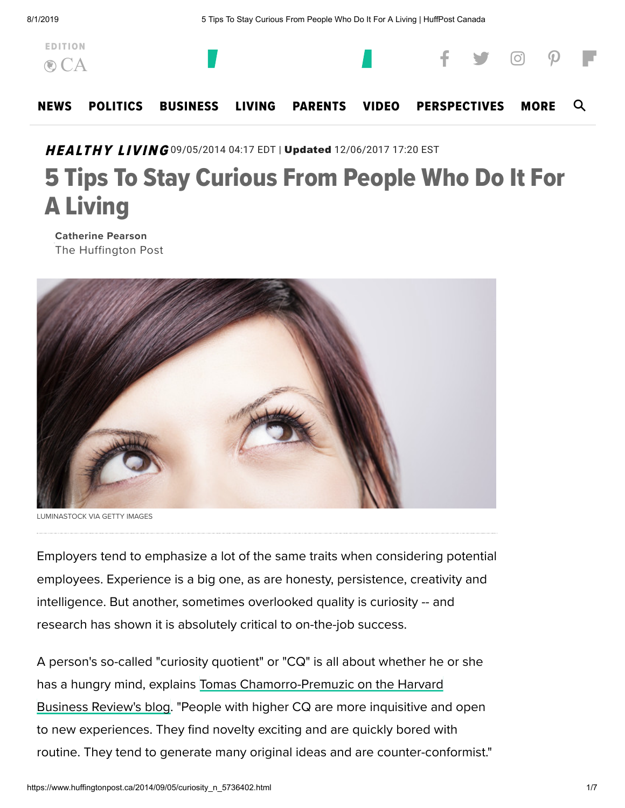

# HEALTHY LIVING 09/05/2014 04:17 EDT | Updated 12/06/2017 17:20 EST

# 5 Tips To Stay Curious From People Who Do It For A Living

Catherine Pearson The Huffington Post



LUMINASTOCK VIA GETTY IMAGES

Employers tend to emphasize a lot of the same traits when considering potential employees. Experience is a big one, as are honesty, persistence, creativity and intelligence. But another, sometimes overlooked quality is curiosity -- and research has shown it is absolutely critical to on-the-job success.

A person's so-called "curiosity quotient" or "CQ" is all about whether he or she has a hungry mind, explains Tomas [Chamorro-Premuzic](http://blogs.hbr.org/2014/08/curiosity-is-as-important-as-intelligence/) on the Harvard Business Review's blog. "People with higher CQ are more inquisitive and open to new experiences. They find novelty exciting and are quickly bored with routine. They tend to generate many original ideas and are counter-conformist."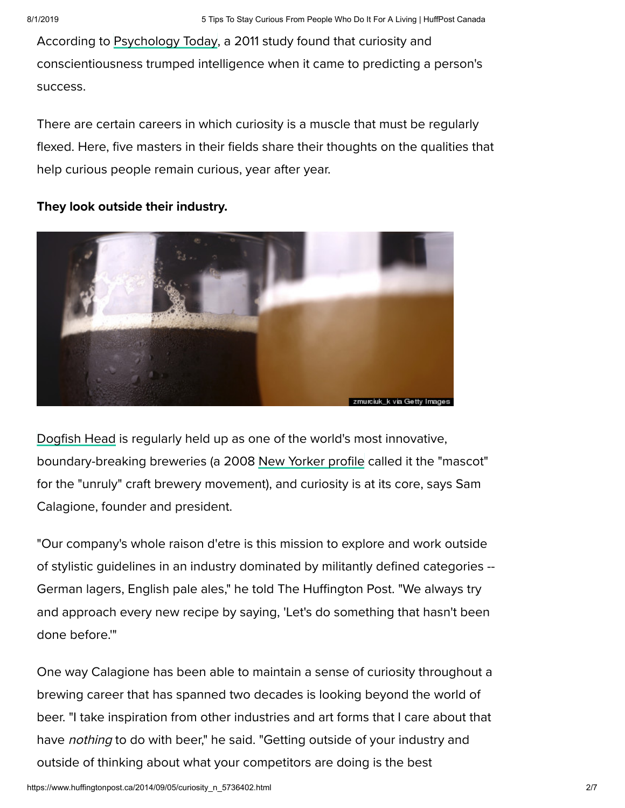According to [Psychology Today](http://www.psychologytoday.com/blog/the-athletes-way/201112/curiosity-and-conscientiousness-more-important-intelligence), a 2011 study found that curiosity and conscientiousness trumped intelligence when it came to predicting a person's success.

There are certain careers in which curiosity is a muscle that must be regularly flexed. Here, five masters in their fields share their thoughts on the qualities that help curious people remain curious, year after year.

They look outside their industry.



[Dogfish](http://www.dogfish.com/) Head is regularly held up as one of the world's most innovative, boundary-breaking breweries (a 2008 New [Yorker profile](http://www.newyorker.com/magazine/2008/11/24/a-better-brew) called it the "mascot" for the "unruly" craft brewery movement), and curiosity is at its core, says Sam Calagione, founder and president.

"Our company's whole raison d'etre is this mission to explore and work outside of stylistic guidelines in an industry dominated by militantly defined categories -- German lagers, English pale ales," he told The Huffington Post. "We always try and approach every new recipe by saying, 'Let's do something that hasn't been done before.'"

One way Calagione has been able to maintain a sense of curiosity throughout a brewing career that has spanned two decades is looking beyond the world of beer. "I take inspiration from other industries and art forms that I care about that have *nothing* to do with beer," he said. "Getting outside of your industry and outside of thinking about what your competitors are doing is the best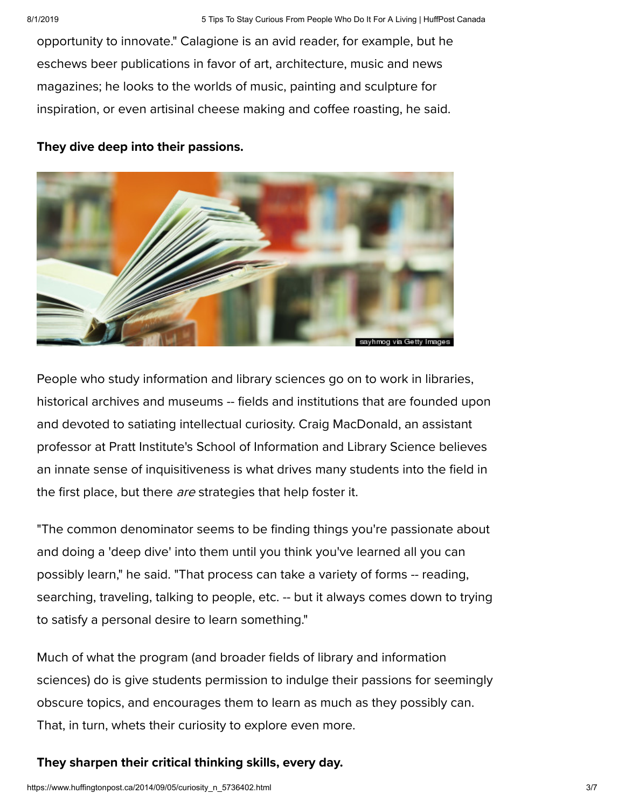opportunity to innovate." Calagione is an avid reader, for example, but he eschews beer publications in favor of art, architecture, music and news magazines; he looks to the worlds of music, painting and sculpture for inspiration, or even artisinal cheese making and coffee roasting, he said.

#### They dive deep into their passions.



People who study information and library sciences go on to work in libraries, historical archives and museums -- fields and institutions that are founded upon and devoted to satiating intellectual curiosity. Craig MacDonald, an assistant professor at Pratt Institute's School of Information and Library Science believes an innate sense of inquisitiveness is what drives many students into the field in the first place, but there are strategies that help foster it.

"The common denominator seems to be finding things you're passionate about and doing a 'deep dive' into them until you think you've learned all you can possibly learn," he said. "That process can take a variety of forms -- reading, searching, traveling, talking to people, etc. -- but it always comes down to trying to satisfy a personal desire to learn something."

Much of what the program (and broader fields of library and information sciences) do is give students permission to indulge their passions for seemingly obscure topics, and encourages them to learn as much as they possibly can. That, in turn, whets their curiosity to explore even more.

## They sharpen their critical thinking skills, every day.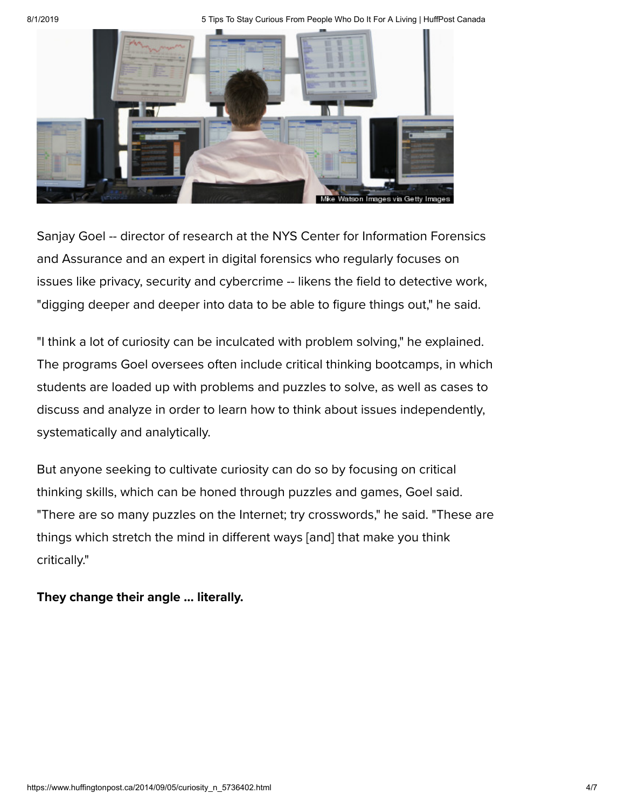8/1/2019 **5 Tips To Stay Curious From People Who Do It For A Living | HuffPost Canada** 



Sanjay Goel -- director of research at the NYS Center for Information Forensics and Assurance and an expert in digital forensics who regularly focuses on issues like privacy, security and cybercrime -- likens the field to detective work, "digging deeper and deeper into data to be able to figure things out," he said.

"I think a lot of curiosity can be inculcated with problem solving," he explained. The programs Goel oversees often include critical thinking bootcamps, in which students are loaded up with problems and puzzles to solve, as well as cases to discuss and analyze in order to learn how to think about issues independently, systematically and analytically.

But anyone seeking to cultivate curiosity can do so by focusing on critical thinking skills, which can be honed through puzzles and games, Goel said. "There are so many puzzles on the Internet; try crosswords," he said. "These are things which stretch the mind in different ways [and] that make you think critically."

They change their angle ... literally.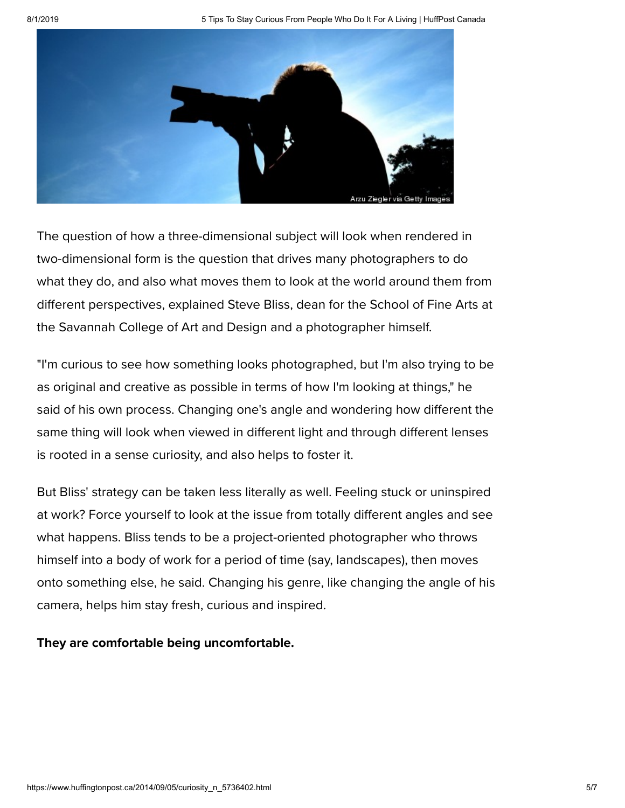8/1/2019 5 Tips To Stay Curious From People Who Do It For A Living | HuffPost Canada



The question of how a three-dimensional subject will look when rendered in two-dimensional form is the question that drives many photographers to do what they do, and also what moves them to look at the world around them from different perspectives, explained Steve Bliss, dean for the School of Fine Arts at the Savannah College of Art and Design and a photographer himself.

"I'm curious to see how something looks photographed, but I'm also trying to be as original and creative as possible in terms of how I'm looking at things," he said of his own process. Changing one's angle and wondering how different the same thing will look when viewed in different light and through different lenses is rooted in a sense curiosity, and also helps to foster it.

But Bliss' strategy can be taken less literally as well. Feeling stuck or uninspired at work? Force yourself to look at the issue from totally different angles and see what happens. Bliss tends to be a project-oriented photographer who throws himself into a body of work for a period of time (say, landscapes), then moves onto something else, he said. Changing his genre, like changing the angle of his camera, helps him stay fresh, curious and inspired.

## They are comfortable being uncomfortable.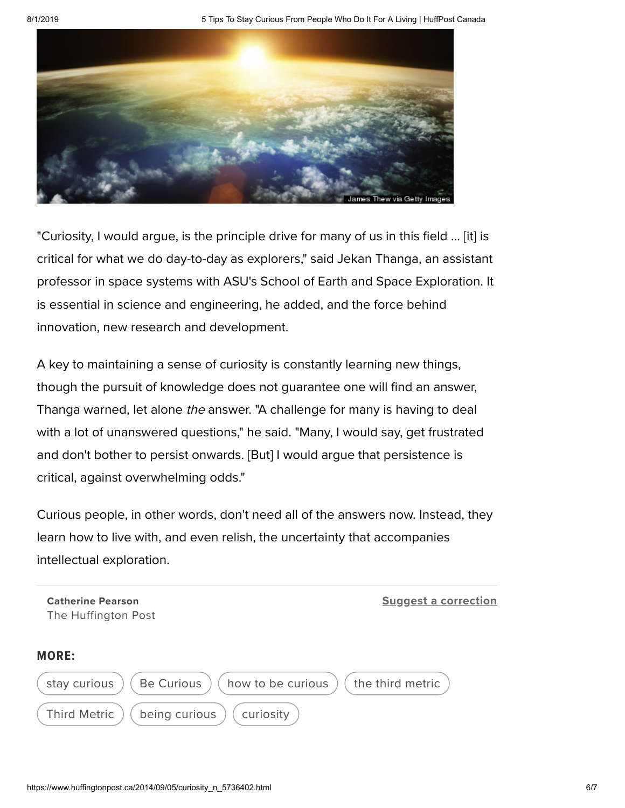8/1/2019 **5 Tips To Stay Curious From People Who Do It For A Living | HuffPost Canada** 



"Curiosity, I would argue, is the principle drive for many of us in this field ... [it] is critical for what we do day-to-day as explorers," said Jekan Thanga, an assistant professor in space systems with ASU's School of Earth and Space Exploration. It is essential in science and engineering, he added, and the force behind innovation, new research and development.

A key to maintaining a sense of curiosity is constantly learning new things, though the pursuit of knowledge does not guarantee one will find an answer, Thanga warned, let alone the answer. "A challenge for many is having to deal with a lot of unanswered questions," he said. "Many, I would say, get frustrated and don't bother to persist onwards. [But] I would argue that persistence is critical, against overwhelming odds."

Curious people, in other words, don't need all of the answers now. Instead, they learn how to live with, and even relish, the uncertainty that accompanies intellectual exploration.